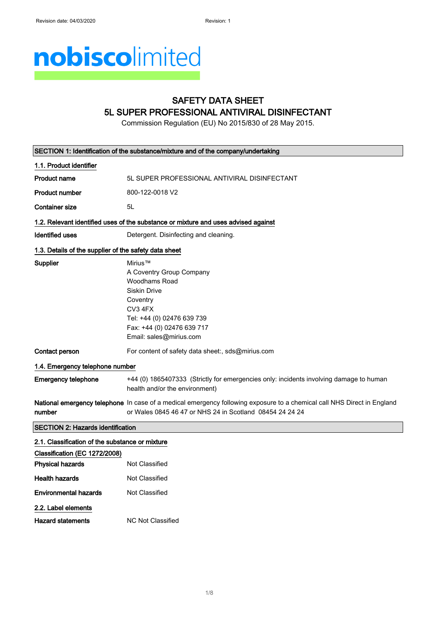# nobiscolimited

## SAFETY DATA SHEET 5L SUPER PROFESSIONAL ANTIVIRAL DISINFECTANT

Commission Regulation (EU) No 2015/830 of 28 May 2015.

|                                                       | SECTION 1: Identification of the substance/mixture and of the company/undertaking                                                                                                          |  |
|-------------------------------------------------------|--------------------------------------------------------------------------------------------------------------------------------------------------------------------------------------------|--|
| 1.1. Product identifier                               |                                                                                                                                                                                            |  |
| Product name                                          | 5L SUPER PROFESSIONAL ANTIVIRAL DISINFECTANT                                                                                                                                               |  |
| <b>Product number</b>                                 | 800-122-0018 V2                                                                                                                                                                            |  |
| <b>Container size</b>                                 | 5L                                                                                                                                                                                         |  |
|                                                       | 1.2. Relevant identified uses of the substance or mixture and uses advised against                                                                                                         |  |
| <b>Identified uses</b>                                | Detergent. Disinfecting and cleaning.                                                                                                                                                      |  |
| 1.3. Details of the supplier of the safety data sheet |                                                                                                                                                                                            |  |
| Supplier                                              | Mirius™<br>A Coventry Group Company<br>Woodhams Road<br><b>Siskin Drive</b><br>Coventry<br>CV3 4FX<br>Tel: +44 (0) 02476 639 739<br>Fax: +44 (0) 02476 639 717<br>Email: sales@mirius.com  |  |
| Contact person                                        | For content of safety data sheet:, sds@mirius.com                                                                                                                                          |  |
| 1.4. Emergency telephone number                       |                                                                                                                                                                                            |  |
| <b>Emergency telephone</b>                            | +44 (0) 1865407333 (Strictly for emergencies only: incidents involving damage to human<br>health and/or the environment)                                                                   |  |
| number                                                | <b>National emergency telephone</b> In case of a medical emergency following exposure to a chemical call NHS Direct in England<br>or Wales 0845 46 47 or NHS 24 in Scotland 08454 24 24 24 |  |
| <b>SECTION 2: Hazards identification</b>              |                                                                                                                                                                                            |  |
| 2.1. Classification of the substance or mixture       |                                                                                                                                                                                            |  |
| Classification (EC 1272/2008)                         |                                                                                                                                                                                            |  |
| <b>Physical hazards</b>                               | <b>Not Classified</b>                                                                                                                                                                      |  |
| <b>Health hazards</b>                                 | Not Classified                                                                                                                                                                             |  |
| <b>Environmental hazards</b>                          | <b>Not Classified</b>                                                                                                                                                                      |  |
| 2.2. Label elements                                   |                                                                                                                                                                                            |  |
| Hazard statements                                     | <b>NC Not Classified</b>                                                                                                                                                                   |  |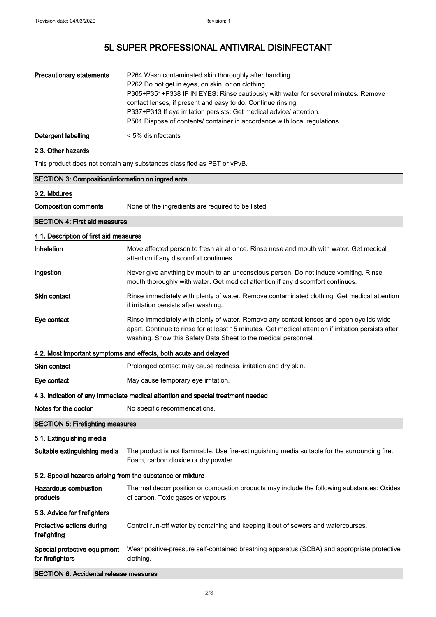| <b>Precautionary statements</b> | P264 Wash contaminated skin thoroughly after handling.<br>P262 Do not get in eyes, on skin, or on clothing.<br>P305+P351+P338 IF IN EYES: Rinse cautiously with water for several minutes. Remove<br>contact lenses, if present and easy to do. Continue rinsing.<br>P337+P313 If eye irritation persists: Get medical advice/attention.<br>P501 Dispose of contents/ container in accordance with local regulations. |
|---------------------------------|-----------------------------------------------------------------------------------------------------------------------------------------------------------------------------------------------------------------------------------------------------------------------------------------------------------------------------------------------------------------------------------------------------------------------|
| Detergent labelling             | $\leq 5\%$ disinfectants                                                                                                                                                                                                                                                                                                                                                                                              |

## 2.3. Other hazards

This product does not contain any substances classified as PBT or vPvB.

| <b>SECTION 3: Composition/information on ingredients</b>                        |                                                                                                                                                                                                                                                                   |  |
|---------------------------------------------------------------------------------|-------------------------------------------------------------------------------------------------------------------------------------------------------------------------------------------------------------------------------------------------------------------|--|
| 3.2. Mixtures                                                                   |                                                                                                                                                                                                                                                                   |  |
| <b>Composition comments</b>                                                     | None of the ingredients are required to be listed.                                                                                                                                                                                                                |  |
| <b>SECTION 4: First aid measures</b>                                            |                                                                                                                                                                                                                                                                   |  |
| 4.1. Description of first aid measures                                          |                                                                                                                                                                                                                                                                   |  |
| Inhalation                                                                      | Move affected person to fresh air at once. Rinse nose and mouth with water. Get medical<br>attention if any discomfort continues.                                                                                                                                 |  |
| Ingestion                                                                       | Never give anything by mouth to an unconscious person. Do not induce vomiting. Rinse<br>mouth thoroughly with water. Get medical attention if any discomfort continues.                                                                                           |  |
| <b>Skin contact</b>                                                             | Rinse immediately with plenty of water. Remove contaminated clothing. Get medical attention<br>if irritation persists after washing.                                                                                                                              |  |
| Eye contact                                                                     | Rinse immediately with plenty of water. Remove any contact lenses and open eyelids wide<br>apart. Continue to rinse for at least 15 minutes. Get medical attention if irritation persists after<br>washing. Show this Safety Data Sheet to the medical personnel. |  |
|                                                                                 | 4.2. Most important symptoms and effects, both acute and delayed                                                                                                                                                                                                  |  |
| <b>Skin contact</b>                                                             | Prolonged contact may cause redness, irritation and dry skin.                                                                                                                                                                                                     |  |
| Eye contact                                                                     | May cause temporary eye irritation.                                                                                                                                                                                                                               |  |
| 4.3. Indication of any immediate medical attention and special treatment needed |                                                                                                                                                                                                                                                                   |  |
| Notes for the doctor                                                            | No specific recommendations.                                                                                                                                                                                                                                      |  |
|                                                                                 | <b>SECTION 5: Firefighting measures</b>                                                                                                                                                                                                                           |  |
| 5.1. Extinguishing media                                                        |                                                                                                                                                                                                                                                                   |  |
| Suitable extinguishing media                                                    | The product is not flammable. Use fire-extinguishing media suitable for the surrounding fire.<br>Foam, carbon dioxide or dry powder.                                                                                                                              |  |
| 5.2. Special hazards arising from the substance or mixture                      |                                                                                                                                                                                                                                                                   |  |
| <b>Hazardous combustion</b><br>products                                         | Thermal decomposition or combustion products may include the following substances: Oxides<br>of carbon. Toxic gases or vapours.                                                                                                                                   |  |
| 5.3. Advice for firefighters                                                    |                                                                                                                                                                                                                                                                   |  |
| Protective actions during<br>firefighting                                       | Control run-off water by containing and keeping it out of sewers and watercourses.                                                                                                                                                                                |  |
| Special protective equipment<br>for firefighters                                | Wear positive-pressure self-contained breathing apparatus (SCBA) and appropriate protective<br>clothing.                                                                                                                                                          |  |
| <b>SECTION 6: Accidental release measures</b>                                   |                                                                                                                                                                                                                                                                   |  |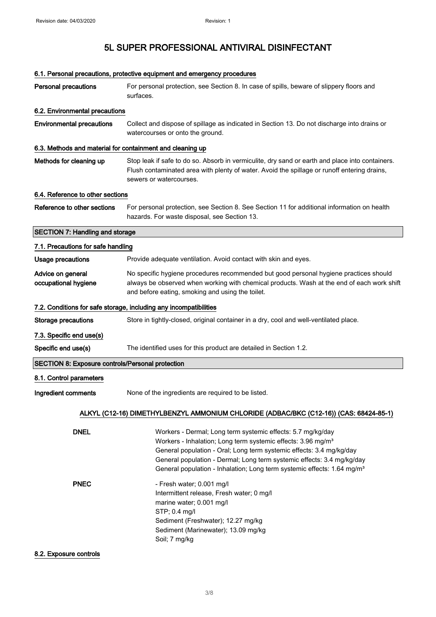|                                                                                        | 6.1. Personal precautions, protective equipment and emergency procedures                                                                                                                                                                                                                                                                                                                                                                                                                                                                                                             |  |
|----------------------------------------------------------------------------------------|--------------------------------------------------------------------------------------------------------------------------------------------------------------------------------------------------------------------------------------------------------------------------------------------------------------------------------------------------------------------------------------------------------------------------------------------------------------------------------------------------------------------------------------------------------------------------------------|--|
| <b>Personal precautions</b>                                                            | For personal protection, see Section 8. In case of spills, beware of slippery floors and<br>surfaces.                                                                                                                                                                                                                                                                                                                                                                                                                                                                                |  |
| 6.2. Environmental precautions                                                         |                                                                                                                                                                                                                                                                                                                                                                                                                                                                                                                                                                                      |  |
| <b>Environmental precautions</b>                                                       | Collect and dispose of spillage as indicated in Section 13. Do not discharge into drains or<br>watercourses or onto the ground.                                                                                                                                                                                                                                                                                                                                                                                                                                                      |  |
| 6.3. Methods and material for containment and cleaning up                              |                                                                                                                                                                                                                                                                                                                                                                                                                                                                                                                                                                                      |  |
| Methods for cleaning up                                                                | Stop leak if safe to do so. Absorb in vermiculite, dry sand or earth and place into containers.<br>Flush contaminated area with plenty of water. Avoid the spillage or runoff entering drains,<br>sewers or watercourses.                                                                                                                                                                                                                                                                                                                                                            |  |
| 6.4. Reference to other sections                                                       |                                                                                                                                                                                                                                                                                                                                                                                                                                                                                                                                                                                      |  |
| Reference to other sections                                                            | For personal protection, see Section 8. See Section 11 for additional information on health<br>hazards. For waste disposal, see Section 13.                                                                                                                                                                                                                                                                                                                                                                                                                                          |  |
| <b>SECTION 7: Handling and storage</b>                                                 |                                                                                                                                                                                                                                                                                                                                                                                                                                                                                                                                                                                      |  |
| 7.1. Precautions for safe handling                                                     |                                                                                                                                                                                                                                                                                                                                                                                                                                                                                                                                                                                      |  |
| <b>Usage precautions</b>                                                               | Provide adequate ventilation. Avoid contact with skin and eyes.                                                                                                                                                                                                                                                                                                                                                                                                                                                                                                                      |  |
| Advice on general<br>occupational hygiene                                              | No specific hygiene procedures recommended but good personal hygiene practices should<br>always be observed when working with chemical products. Wash at the end of each work shift<br>and before eating, smoking and using the toilet.                                                                                                                                                                                                                                                                                                                                              |  |
|                                                                                        | 7.2. Conditions for safe storage, including any incompatibilities                                                                                                                                                                                                                                                                                                                                                                                                                                                                                                                    |  |
| <b>Storage precautions</b>                                                             | Store in tightly-closed, original container in a dry, cool and well-ventilated place.                                                                                                                                                                                                                                                                                                                                                                                                                                                                                                |  |
| 7.3. Specific end use(s)                                                               |                                                                                                                                                                                                                                                                                                                                                                                                                                                                                                                                                                                      |  |
| Specific end use(s)                                                                    | The identified uses for this product are detailed in Section 1.2.                                                                                                                                                                                                                                                                                                                                                                                                                                                                                                                    |  |
| <b>SECTION 8: Exposure controls/Personal protection</b>                                |                                                                                                                                                                                                                                                                                                                                                                                                                                                                                                                                                                                      |  |
| 8.1. Control parameters                                                                |                                                                                                                                                                                                                                                                                                                                                                                                                                                                                                                                                                                      |  |
| Ingredient comments                                                                    | None of the ingredients are required to be listed.                                                                                                                                                                                                                                                                                                                                                                                                                                                                                                                                   |  |
| ALKYL (C12-16) DIMETHYLBENZYL AMMONIUM CHLORIDE (ADBAC/BKC (C12-16)) (CAS: 68424-85-1) |                                                                                                                                                                                                                                                                                                                                                                                                                                                                                                                                                                                      |  |
| <b>DNEL</b><br><b>PNEC</b>                                                             | Workers - Dermal; Long term systemic effects: 5.7 mg/kg/day<br>Workers - Inhalation; Long term systemic effects: 3.96 mg/m <sup>3</sup><br>General population - Oral; Long term systemic effects: 3.4 mg/kg/day<br>General population - Dermal; Long term systemic effects: 3.4 mg/kg/day<br>General population - Inhalation; Long term systemic effects: 1.64 mg/m <sup>3</sup><br>- Fresh water; 0.001 mg/l<br>Intermittent release, Fresh water; 0 mg/l<br>marine water; 0.001 mg/l<br>STP; 0.4 mg/l<br>Sediment (Freshwater); 12.27 mg/kg<br>Sediment (Marinewater); 13.09 mg/kg |  |
|                                                                                        | Soil; 7 mg/kg                                                                                                                                                                                                                                                                                                                                                                                                                                                                                                                                                                        |  |

### 8.2. Exposure controls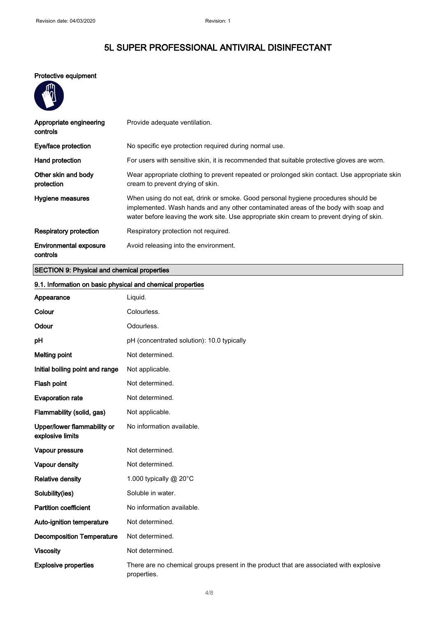## Protective equipment

m

| Appropriate engineering<br>controls       | Provide adequate ventilation.                                                                                                                                                                                                                                        |
|-------------------------------------------|----------------------------------------------------------------------------------------------------------------------------------------------------------------------------------------------------------------------------------------------------------------------|
| Eye/face protection                       | No specific eye protection required during normal use.                                                                                                                                                                                                               |
| Hand protection                           | For users with sensitive skin, it is recommended that suitable protective gloves are worn.                                                                                                                                                                           |
| Other skin and body<br>protection         | Wear appropriate clothing to prevent repeated or prolonged skin contact. Use appropriate skin<br>cream to prevent drying of skin.                                                                                                                                    |
| Hygiene measures                          | When using do not eat, drink or smoke. Good personal hygiene procedures should be<br>implemented. Wash hands and any other contaminated areas of the body with soap and<br>water before leaving the work site. Use appropriate skin cream to prevent drying of skin. |
| Respiratory protection                    | Respiratory protection not required.                                                                                                                                                                                                                                 |
| <b>Environmental exposure</b><br>controls | Avoid releasing into the environment.                                                                                                                                                                                                                                |

## SECTION 9: Physical and chemical properties

| 9.1. Information on basic physical and chemical properties |                                                                                                       |
|------------------------------------------------------------|-------------------------------------------------------------------------------------------------------|
| Appearance                                                 | Liquid.                                                                                               |
| Colour                                                     | Colourless.                                                                                           |
| Odour                                                      | Odourless.                                                                                            |
| pH                                                         | pH (concentrated solution): 10.0 typically                                                            |
| <b>Melting point</b>                                       | Not determined.                                                                                       |
| Initial boiling point and range                            | Not applicable.                                                                                       |
| Flash point                                                | Not determined.                                                                                       |
| <b>Evaporation rate</b>                                    | Not determined.                                                                                       |
| Flammability (solid, gas)                                  | Not applicable.                                                                                       |
| Upper/lower flammability or<br>explosive limits            | No information available.                                                                             |
| Vapour pressure                                            | Not determined.                                                                                       |
| Vapour density                                             | Not determined.                                                                                       |
| <b>Relative density</b>                                    | 1.000 typically @ 20°C                                                                                |
| Solubility(ies)                                            | Soluble in water.                                                                                     |
| <b>Partition coefficient</b>                               | No information available.                                                                             |
| Auto-ignition temperature                                  | Not determined.                                                                                       |
| <b>Decomposition Temperature</b>                           | Not determined.                                                                                       |
| <b>Viscosity</b>                                           | Not determined.                                                                                       |
| <b>Explosive properties</b>                                | There are no chemical groups present in the product that are associated with explosive<br>properties. |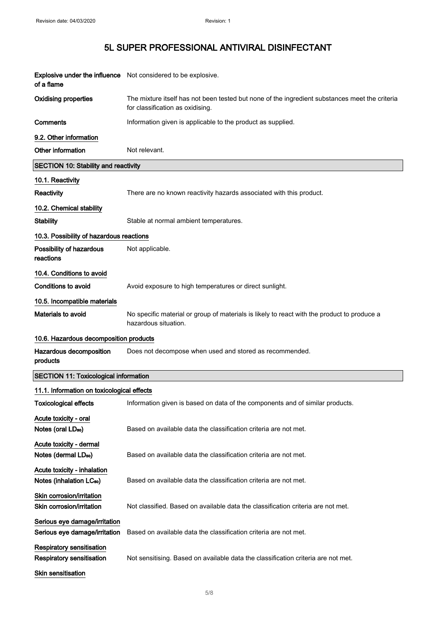| of a flame                                                          | Explosive under the influence Not considered to be explosive.                                                                      |
|---------------------------------------------------------------------|------------------------------------------------------------------------------------------------------------------------------------|
| <b>Oxidising properties</b>                                         | The mixture itself has not been tested but none of the ingredient substances meet the criteria<br>for classification as oxidising. |
| Comments                                                            | Information given is applicable to the product as supplied.                                                                        |
| 9.2. Other information                                              |                                                                                                                                    |
| Other information                                                   | Not relevant.                                                                                                                      |
| <b>SECTION 10: Stability and reactivity</b>                         |                                                                                                                                    |
| 10.1. Reactivity                                                    |                                                                                                                                    |
| <b>Reactivity</b>                                                   | There are no known reactivity hazards associated with this product.                                                                |
| 10.2. Chemical stability                                            |                                                                                                                                    |
| <b>Stability</b>                                                    | Stable at normal ambient temperatures.                                                                                             |
| 10.3. Possibility of hazardous reactions                            |                                                                                                                                    |
| Possibility of hazardous<br>reactions                               | Not applicable.                                                                                                                    |
| 10.4. Conditions to avoid                                           |                                                                                                                                    |
| Conditions to avoid                                                 | Avoid exposure to high temperatures or direct sunlight.                                                                            |
| 10.5. Incompatible materials                                        |                                                                                                                                    |
| <b>Materials to avoid</b>                                           | No specific material or group of materials is likely to react with the product to produce a<br>hazardous situation.                |
| 10.6. Hazardous decomposition products                              |                                                                                                                                    |
| Hazardous decomposition<br>products                                 | Does not decompose when used and stored as recommended.                                                                            |
| <b>SECTION 11: Toxicological information</b>                        |                                                                                                                                    |
| 11.1. Information on toxicological effects                          |                                                                                                                                    |
| <b>Toxicological effects</b>                                        | Information given is based on data of the components and of similar products.                                                      |
| Acute toxicity - oral<br>Notes (oral LD <sub>50</sub> )             | Based on available data the classification criteria are not met.                                                                   |
| Acute toxicity - dermal<br>Notes (dermal LD <sub>50</sub> )         | Based on available data the classification criteria are not met.                                                                   |
| Acute toxicity - inhalation<br>Notes (inhalation LC <sub>50</sub> ) | Based on available data the classification criteria are not met.                                                                   |
| Skin corrosion/irritation<br>Skin corrosion/irritation              | Not classified. Based on available data the classification criteria are not met.                                                   |
| Serious eye damage/irritation<br>Serious eye damage/irritation      | Based on available data the classification criteria are not met.                                                                   |
| <b>Respiratory sensitisation</b><br>Respiratory sensitisation       | Not sensitising. Based on available data the classification criteria are not met.                                                  |
| Skin sensitisation                                                  |                                                                                                                                    |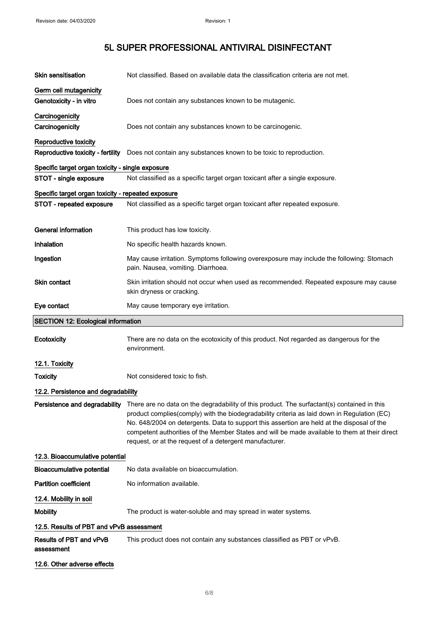| <b>Skin sensitisation</b>                                  | Not classified. Based on available data the classification criteria are not met.                                                                                                                                                                                                                                                                                                                                                                     |
|------------------------------------------------------------|------------------------------------------------------------------------------------------------------------------------------------------------------------------------------------------------------------------------------------------------------------------------------------------------------------------------------------------------------------------------------------------------------------------------------------------------------|
| Germ cell mutagenicity<br>Genotoxicity - in vitro          | Does not contain any substances known to be mutagenic.                                                                                                                                                                                                                                                                                                                                                                                               |
| Carcinogenicity<br>Carcinogenicity                         | Does not contain any substances known to be carcinogenic.                                                                                                                                                                                                                                                                                                                                                                                            |
| Reproductive toxicity<br>Reproductive toxicity - fertility | Does not contain any substances known to be toxic to reproduction.                                                                                                                                                                                                                                                                                                                                                                                   |
| Specific target organ toxicity - single exposure           |                                                                                                                                                                                                                                                                                                                                                                                                                                                      |
| STOT - single exposure                                     | Not classified as a specific target organ toxicant after a single exposure.                                                                                                                                                                                                                                                                                                                                                                          |
| Specific target organ toxicity - repeated exposure         |                                                                                                                                                                                                                                                                                                                                                                                                                                                      |
| STOT - repeated exposure                                   | Not classified as a specific target organ toxicant after repeated exposure.                                                                                                                                                                                                                                                                                                                                                                          |
| <b>General information</b>                                 | This product has low toxicity.                                                                                                                                                                                                                                                                                                                                                                                                                       |
| Inhalation                                                 | No specific health hazards known.                                                                                                                                                                                                                                                                                                                                                                                                                    |
| Ingestion                                                  | May cause irritation. Symptoms following overexposure may include the following: Stomach<br>pain. Nausea, vomiting. Diarrhoea.                                                                                                                                                                                                                                                                                                                       |
| <b>Skin contact</b>                                        | Skin irritation should not occur when used as recommended. Repeated exposure may cause<br>skin dryness or cracking.                                                                                                                                                                                                                                                                                                                                  |
| Eye contact                                                | May cause temporary eye irritation.                                                                                                                                                                                                                                                                                                                                                                                                                  |
| <b>SECTION 12: Ecological information</b>                  |                                                                                                                                                                                                                                                                                                                                                                                                                                                      |
| Ecotoxicity                                                | There are no data on the ecotoxicity of this product. Not regarded as dangerous for the<br>environment.                                                                                                                                                                                                                                                                                                                                              |
| 12.1. Toxicity                                             |                                                                                                                                                                                                                                                                                                                                                                                                                                                      |
| <b>Toxicity</b>                                            | Not considered toxic to fish.                                                                                                                                                                                                                                                                                                                                                                                                                        |
| 12.2. Persistence and degradability                        |                                                                                                                                                                                                                                                                                                                                                                                                                                                      |
|                                                            |                                                                                                                                                                                                                                                                                                                                                                                                                                                      |
| Persistence and degradability                              | There are no data on the degradability of this product. The surfactant(s) contained in this<br>product complies(comply) with the biodegradability criteria as laid down in Regulation (EC)<br>No. 648/2004 on detergents. Data to support this assertion are held at the disposal of the<br>competent authorities of the Member States and will be made available to them at their direct<br>request, or at the request of a detergent manufacturer. |
| 12.3. Bioaccumulative potential                            |                                                                                                                                                                                                                                                                                                                                                                                                                                                      |
| <b>Bioaccumulative potential</b>                           | No data available on bioaccumulation.                                                                                                                                                                                                                                                                                                                                                                                                                |
| <b>Partition coefficient</b>                               | No information available.                                                                                                                                                                                                                                                                                                                                                                                                                            |
| 12.4. Mobility in soil                                     |                                                                                                                                                                                                                                                                                                                                                                                                                                                      |
| <b>Mobility</b>                                            | The product is water-soluble and may spread in water systems.                                                                                                                                                                                                                                                                                                                                                                                        |
| 12.5. Results of PBT and vPvB assessment                   |                                                                                                                                                                                                                                                                                                                                                                                                                                                      |
| Results of PBT and vPvB<br>assessment                      | This product does not contain any substances classified as PBT or vPvB.                                                                                                                                                                                                                                                                                                                                                                              |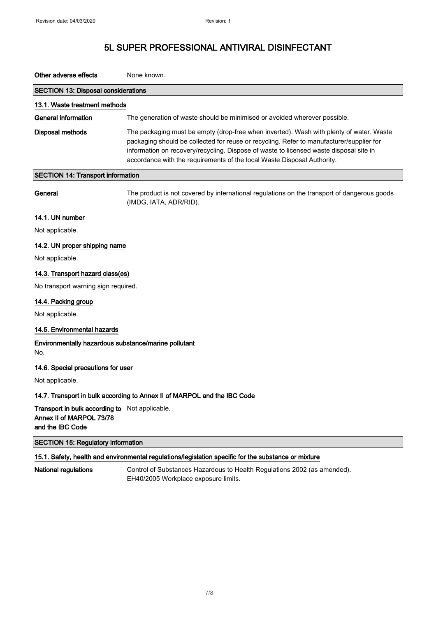| Other adverse effects                                                                                | None known.                                                                                                                                                                                                                                                                                                                                              |  |
|------------------------------------------------------------------------------------------------------|----------------------------------------------------------------------------------------------------------------------------------------------------------------------------------------------------------------------------------------------------------------------------------------------------------------------------------------------------------|--|
| <b>SECTION 13: Disposal considerations</b>                                                           |                                                                                                                                                                                                                                                                                                                                                          |  |
| 13.1. Waste treatment methods                                                                        |                                                                                                                                                                                                                                                                                                                                                          |  |
| <b>General information</b>                                                                           | The generation of waste should be minimised or avoided wherever possible.                                                                                                                                                                                                                                                                                |  |
| <b>Disposal methods</b>                                                                              | The packaging must be empty (drop-free when inverted). Wash with plenty of water. Waste<br>packaging should be collected for reuse or recycling. Refer to manufacturer/supplier for<br>information on recovery/recycling. Dispose of waste to licensed waste disposal site in<br>accordance with the requirements of the local Waste Disposal Authority. |  |
| <b>SECTION 14: Transport information</b>                                                             |                                                                                                                                                                                                                                                                                                                                                          |  |
| General                                                                                              | The product is not covered by international regulations on the transport of dangerous goods<br>(IMDG, IATA, ADR/RID).                                                                                                                                                                                                                                    |  |
| 14.1. UN number                                                                                      |                                                                                                                                                                                                                                                                                                                                                          |  |
| Not applicable.                                                                                      |                                                                                                                                                                                                                                                                                                                                                          |  |
| 14.2. UN proper shipping name                                                                        |                                                                                                                                                                                                                                                                                                                                                          |  |
| Not applicable.                                                                                      |                                                                                                                                                                                                                                                                                                                                                          |  |
| 14.3. Transport hazard class(es)                                                                     |                                                                                                                                                                                                                                                                                                                                                          |  |
| No transport warning sign required.                                                                  |                                                                                                                                                                                                                                                                                                                                                          |  |
| 14.4. Packing group                                                                                  |                                                                                                                                                                                                                                                                                                                                                          |  |
| Not applicable.                                                                                      |                                                                                                                                                                                                                                                                                                                                                          |  |
| 14.5. Environmental hazards                                                                          |                                                                                                                                                                                                                                                                                                                                                          |  |
| Environmentally hazardous substance/marine pollutant<br>No.                                          |                                                                                                                                                                                                                                                                                                                                                          |  |
| 14.6. Special precautions for user                                                                   |                                                                                                                                                                                                                                                                                                                                                          |  |
| Not applicable.                                                                                      |                                                                                                                                                                                                                                                                                                                                                          |  |
| 14.7. Transport in bulk according to Annex II of MARPOL and the IBC Code                             |                                                                                                                                                                                                                                                                                                                                                          |  |
| Transport in bulk according to Not applicable.<br>Annex II of MARPOL 73/78<br>and the IBC Code       |                                                                                                                                                                                                                                                                                                                                                          |  |
| <b>SECTION 15: Regulatory information</b>                                                            |                                                                                                                                                                                                                                                                                                                                                          |  |
| 15.1. Safety, health and environmental regulations/legislation specific for the substance or mixture |                                                                                                                                                                                                                                                                                                                                                          |  |
| <b>National regulations</b>                                                                          | Control of Substances Hazardous to Health Regulations 2002 (as amended).<br>EH40/2005 Workplace exposure limits.                                                                                                                                                                                                                                         |  |